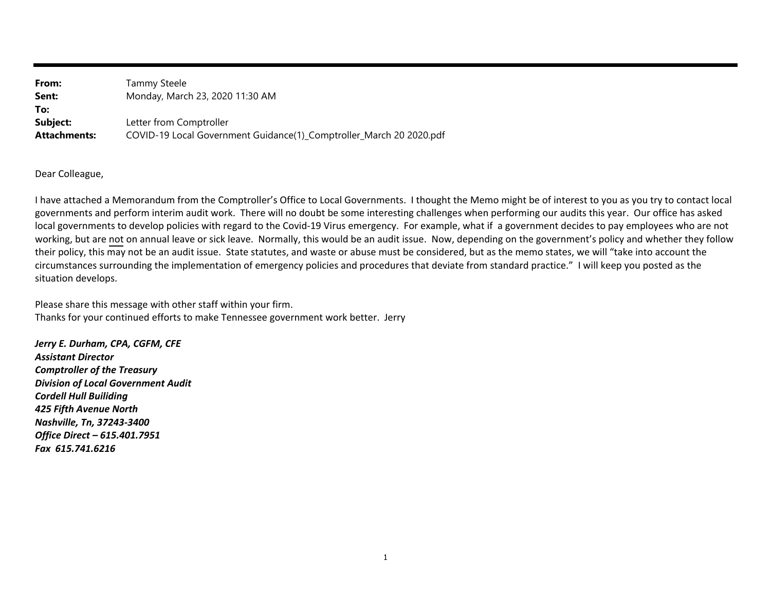| From:               | Tammy Steele                                                        |
|---------------------|---------------------------------------------------------------------|
| Sent:               | Monday, March 23, 2020 11:30 AM                                     |
| To:                 |                                                                     |
| Subject:            | Letter from Comptroller                                             |
| <b>Attachments:</b> | COVID-19 Local Government Guidance(1)_Comptroller_March 20 2020.pdf |

Dear Colleague,

 have attached <sup>a</sup> Memorandum from the Comptroller's Office to Local Governments. <sup>I</sup> thought the Memo might be of interest to you as you try to contact local governments and perform interim audit work. There will no doubt be some interesting challenges when performing our audits this year. Our office has asked<br>Lead as we want the double well identified with a second to the Cavi local governments to develop policies with regard to the Covid‐<sup>19</sup> Virus emergency. For example, what if <sup>a</sup> government decides to pay employees who are not working, but are <u>not</u> on annual leave or sick leave. Normally, this would be an audit issue. Now, depending on the government's policy and whether they follow their policy, this may not be an audit issue. State statutes, and waste or abuse must be considered, but as the memo states, we will "take into account the circumstances surrounding the implementation of emergency policies and procedures that deviate from standard practice." I will keep you posted as the<br>situation develope situation develops.

Please share this message with other staff within your firm. Thanks for your continued efforts to make Tennessee government work better. Jerry

*Jerry E. Durham, CPA, CGFM, CFEAssistant Director Comptroller of the Treasury Division of Local Government Audit Cordell Hull Builiding 425 Fifth Avenue North Nashville, Tn, 37243‐3400 Office Direct – 615.401.7951Fax 615.741.6216*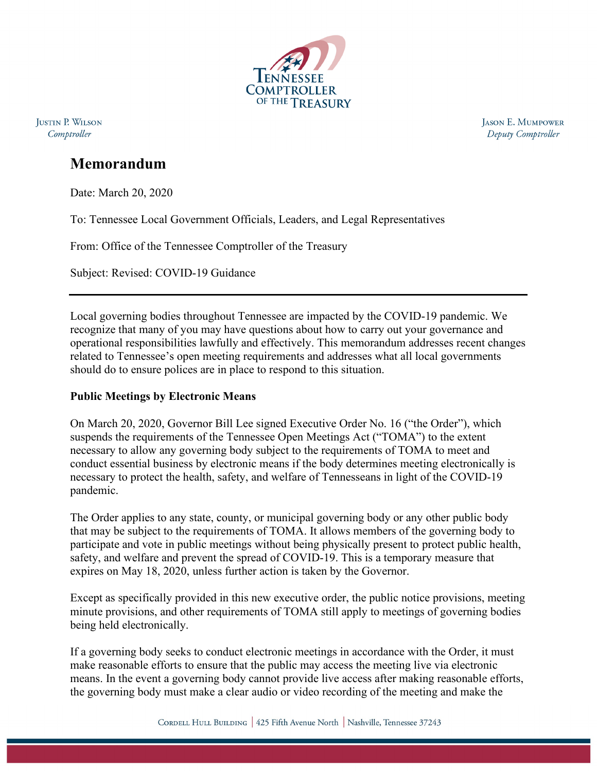

**JUSTIN P. WILSON** Comptroller

**JASON E. MUMPOWER** Deputy Comptroller

# **Memorandum**

Date: March 20, 2020

To: Tennessee Local Government Officials, Leaders, and Legal Representatives

From: Office of the Tennessee Comptroller of the Treasury

Subject: Revised: COVID-19 Guidance

Local governing bodies throughout Tennessee are impacted by the COVID-19 pandemic. We recognize that many of you may have questions about how to carry out your governance and operational responsibilities lawfully and effectively. This memorandum addresses recent changes related to Tennessee's open meeting requirements and addresses what all local governments should do to ensure polices are in place to respond to this situation.

# **Public Meetings by Electronic Means**

On March 20, 2020, Governor Bill Lee signed Executive Order No. 16 ("the Order"), which suspends the requirements of the Tennessee Open Meetings Act ("TOMA") to the extent necessary to allow any governing body subject to the requirements of TOMA to meet and conduct essential business by electronic means if the body determines meeting electronically is necessary to protect the health, safety, and welfare of Tennesseans in light of the COVID-19 pandemic.

The Order applies to any state, county, or municipal governing body or any other public body that may be subject to the requirements of TOMA. It allows members of the governing body to participate and vote in public meetings without being physically present to protect public health, safety, and welfare and prevent the spread of COVID-19. This is a temporary measure that expires on May 18, 2020, unless further action is taken by the Governor.

Except as specifically provided in this new executive order, the public notice provisions, meeting minute provisions, and other requirements of TOMA still apply to meetings of governing bodies being held electronically.

If a governing body seeks to conduct electronic meetings in accordance with the Order, it must make reasonable efforts to ensure that the public may access the meeting live via electronic means. In the event a governing body cannot provide live access after making reasonable efforts, the governing body must make a clear audio or video recording of the meeting and make the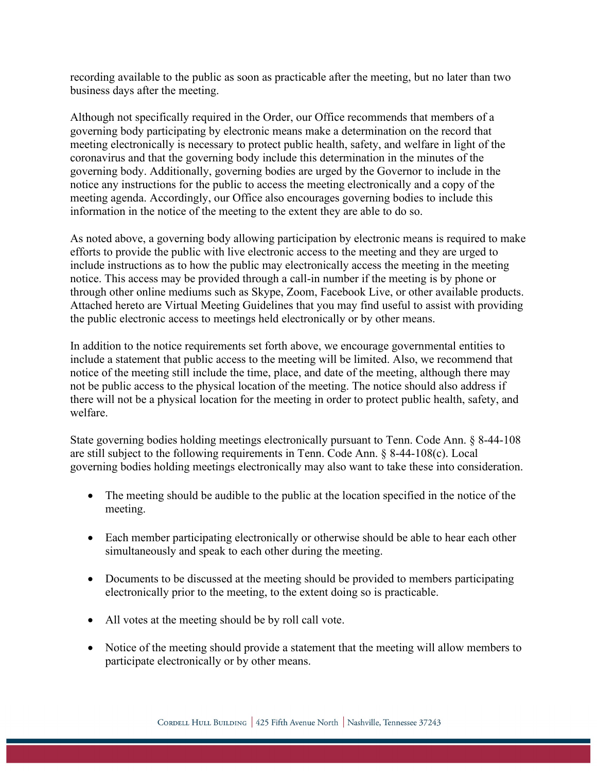recording available to the public as soon as practicable after the meeting, but no later than two business days after the meeting.

Although not specifically required in the Order, our Office recommends that members of a governing body participating by electronic means make a determination on the record that meeting electronically is necessary to protect public health, safety, and welfare in light of the coronavirus and that the governing body include this determination in the minutes of the governing body. Additionally, governing bodies are urged by the Governor to include in the notice any instructions for the public to access the meeting electronically and a copy of the meeting agenda. Accordingly, our Office also encourages governing bodies to include this information in the notice of the meeting to the extent they are able to do so.

As noted above, a governing body allowing participation by electronic means is required to make efforts to provide the public with live electronic access to the meeting and they are urged to include instructions as to how the public may electronically access the meeting in the meeting notice. This access may be provided through a call-in number if the meeting is by phone or through other online mediums such as Skype, Zoom, Facebook Live, or other available products. Attached hereto are Virtual Meeting Guidelines that you may find useful to assist with providing the public electronic access to meetings held electronically or by other means.

In addition to the notice requirements set forth above, we encourage governmental entities to include a statement that public access to the meeting will be limited. Also, we recommend that notice of the meeting still include the time, place, and date of the meeting, although there may not be public access to the physical location of the meeting. The notice should also address if there will not be a physical location for the meeting in order to protect public health, safety, and welfare.

State governing bodies holding meetings electronically pursuant to Tenn. Code Ann. § 8-44-108 are still subject to the following requirements in Tenn. Code Ann. § 8-44-108(c). Local governing bodies holding meetings electronically may also want to take these into consideration.

- The meeting should be audible to the public at the location specified in the notice of the meeting.
- Each member participating electronically or otherwise should be able to hear each other simultaneously and speak to each other during the meeting.
- Documents to be discussed at the meeting should be provided to members participating electronically prior to the meeting, to the extent doing so is practicable.
- All votes at the meeting should be by roll call vote.
- Notice of the meeting should provide a statement that the meeting will allow members to participate electronically or by other means.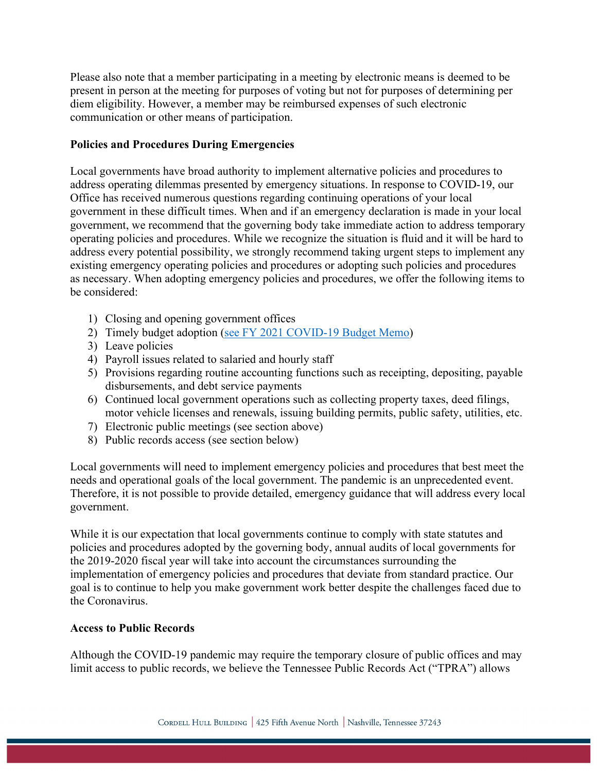Please also note that a member participating in a meeting by electronic means is deemed to be present in person at the meeting for purposes of voting but not for purposes of determining per diem eligibility. However, a member may be reimbursed expenses of such electronic communication or other means of participation.

### **Policies and Procedures During Emergencies**

Local governments have broad authority to implement alternative policies and procedures to address operating dilemmas presented by emergency situations. In response to COVID-19, our Office has received numerous questions regarding continuing operations of your local government in these difficult times. When and if an emergency declaration is made in your local government, we recommend that the governing body take immediate action to address temporary operating policies and procedures. While we recognize the situation is fluid and it will be hard to address every potential possibility, we strongly recommend taking urgent steps to implement any existing emergency operating policies and procedures or adopting such policies and procedures as necessary. When adopting emergency policies and procedures, we offer the following items to be considered:

- 1) Closing and opening government offices
- 2) Timely budget adoption (see [FY 2021 COVID-19 Budget Memo\)](https://comptroller.tn.gov/content/dam/cot/lgf/documents/budgets/BudgetAdoptionMemoMarch2020.pdf)
- 3) Leave policies
- 4) Payroll issues related to salaried and hourly staff
- 5) Provisions regarding routine accounting functions such as receipting, depositing, payable disbursements, and debt service payments
- 6) Continued local government operations such as collecting property taxes, deed filings, motor vehicle licenses and renewals, issuing building permits, public safety, utilities, etc.
- 7) Electronic public meetings (see section above)
- 8) Public records access (see section below)

Local governments will need to implement emergency policies and procedures that best meet the needs and operational goals of the local government. The pandemic is an unprecedented event. Therefore, it is not possible to provide detailed, emergency guidance that will address every local government.

While it is our expectation that local governments continue to comply with state statutes and policies and procedures adopted by the governing body, annual audits of local governments for the 2019-2020 fiscal year will take into account the circumstances surrounding the implementation of emergency policies and procedures that deviate from standard practice. Our goal is to continue to help you make government work better despite the challenges faced due to the Coronavirus.

### **Access to Public Records**

Although the COVID-19 pandemic may require the temporary closure of public offices and may limit access to public records, we believe the Tennessee Public Records Act ("TPRA") allows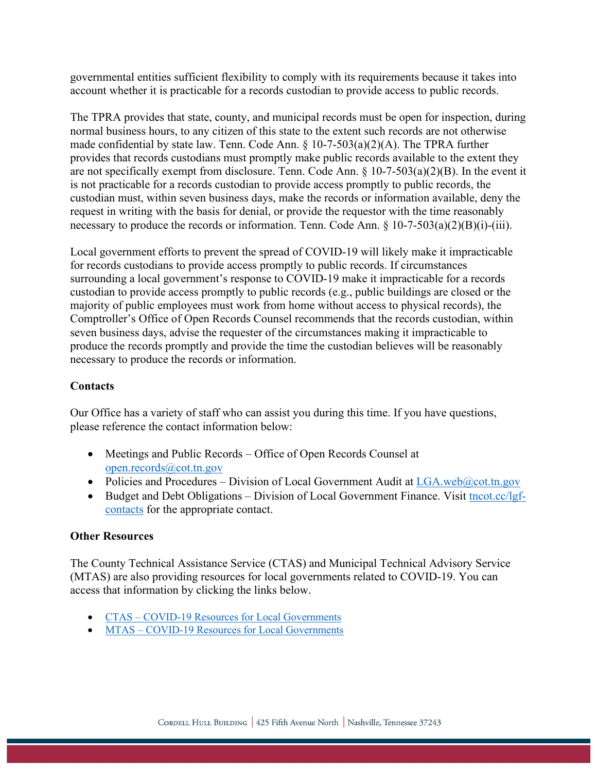governmental entities sufficient flexibility to comply with its requirements because it takes into account whether it is practicable for a records custodian to provide access to public records.

The TPRA provides that state, county, and municipal records must be open for inspection, during normal business hours, to any citizen of this state to the extent such records are not otherwise made confidential by state law. Tenn. Code Ann. § 10-7-503(a)(2)(A). The TPRA further provides that records custodians must promptly make public records available to the extent they are not specifically exempt from disclosure. Tenn. Code Ann. § 10-7-503(a)(2)(B). In the event it is not practicable for a records custodian to provide access promptly to public records, the custodian must, within seven business days, make the records or information available, deny the request in writing with the basis for denial, or provide the requestor with the time reasonably necessary to produce the records or information. Tenn. Code Ann. § 10-7-503(a)(2)(B)(i)-(iii).

Local government efforts to prevent the spread of COVID-19 will likely make it impracticable for records custodians to provide access promptly to public records. If circumstances surrounding a local government's response to COVID-19 make it impracticable for a records custodian to provide access promptly to public records (e.g., public buildings are closed or the majority of public employees must work from home without access to physical records), the Comptroller's Office of Open Records Counsel recommends that the records custodian, within seven business days, advise the requester of the circumstances making it impracticable to produce the records promptly and provide the time the custodian believes will be reasonably necessary to produce the records or information.

### **Contacts**

Our Office has a variety of staff who can assist you during this time. If you have questions, please reference the contact information below:

- Meetings and Public Records Office of Open Records Counsel at [open.records@cot.tn.gov](mailto:open.records@cot.tn.gov)
- Policies and Procedures Division of Local Government Audit at  $LGA$ .web $@cot.tn.gov$
- Budget and Debt Obligations Division of Local Government Finance. Visit [tncot.cc/lgf](http://tncot.cc/lgf-contacts)[contacts](http://tncot.cc/lgf-contacts) for the appropriate contact.

### **Other Resources**

The County Technical Assistance Service (CTAS) and Municipal Technical Advisory Service (MTAS) are also providing resources for local governments related to COVID-19. You can access that information by clicking the links below.

- CTAS [COVID-19 Resources for Local Governments](http://www.ctas.tennessee.edu/covid19)
- MTAS [COVID-19 Resources for Local Governments](https://www.mtas.tennessee.edu/knowledgebase/covid-19-coronavirus-resources-local-government-tennessee)